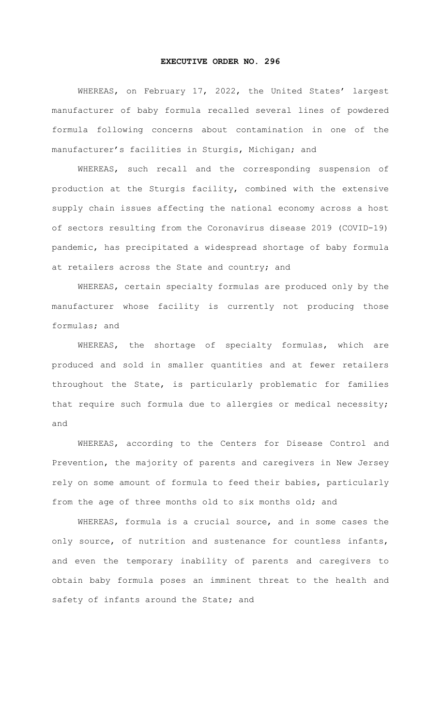## **EXECUTIVE ORDER NO. 296**

WHEREAS, on February 17, 2022, the United States' largest manufacturer of baby formula recalled several lines of powdered formula following concerns about contamination in one of the manufacturer's facilities in Sturgis, Michigan; and

 WHEREAS, such recall and the corresponding suspension of production at the Sturgis facility, combined with the extensive supply chain issues affecting the national economy across a host of sectors resulting from the Coronavirus disease 2019 (COVID-19) pandemic, has precipitated a widespread shortage of baby formula at retailers across the State and country; and

 WHEREAS, certain specialty formulas are produced only by the manufacturer whose facility is currently not producing those formulas; and

 WHEREAS, the shortage of specialty formulas, which are produced and sold in smaller quantities and at fewer retailers throughout the State, is particularly problematic for families that require such formula due to allergies or medical necessity; and

 WHEREAS, according to the Centers for Disease Control and Prevention, the majority of parents and caregivers in New Jersey rely on some amount of formula to feed their babies, particularly from the age of three months old to six months old; and

WHEREAS, formula is a crucial source, and in some cases the only source, of nutrition and sustenance for countless infants, and even the temporary inability of parents and caregivers to obtain baby formula poses an imminent threat to the health and safety of infants around the State; and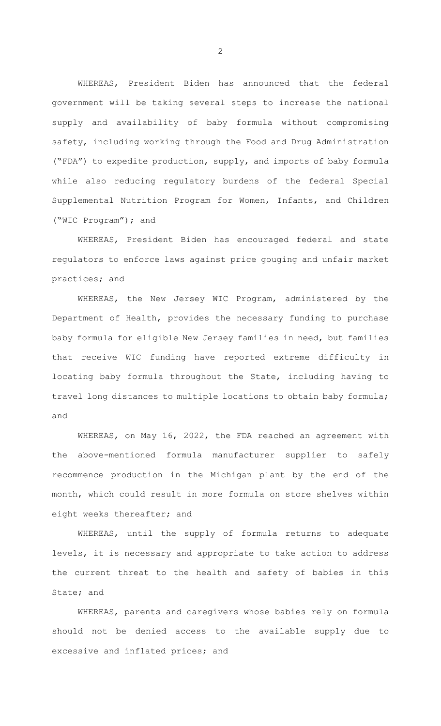WHEREAS, President Biden has announced that the federal government will be taking several steps to increase the national supply and availability of baby formula without compromising safety, including working through the Food and Drug Administration ("FDA") to expedite production, supply, and imports of baby formula while also reducing regulatory burdens of the federal Special Supplemental Nutrition Program for Women, Infants, and Children ("WIC Program"); and

WHEREAS, President Biden has encouraged federal and state regulators to enforce laws against price gouging and unfair market practices; and

WHEREAS, the New Jersey WIC Program, administered by the Department of Health, provides the necessary funding to purchase baby formula for eligible New Jersey families in need, but families that receive WIC funding have reported extreme difficulty in locating baby formula throughout the State, including having to travel long distances to multiple locations to obtain baby formula; and

WHEREAS, on May 16, 2022, the FDA reached an agreement with the above-mentioned formula manufacturer supplier to safely recommence production in the Michigan plant by the end of the month, which could result in more formula on store shelves within eight weeks thereafter; and

WHEREAS, until the supply of formula returns to adequate levels, it is necessary and appropriate to take action to address the current threat to the health and safety of babies in this State; and

WHEREAS, parents and caregivers whose babies rely on formula should not be denied access to the available supply due to excessive and inflated prices; and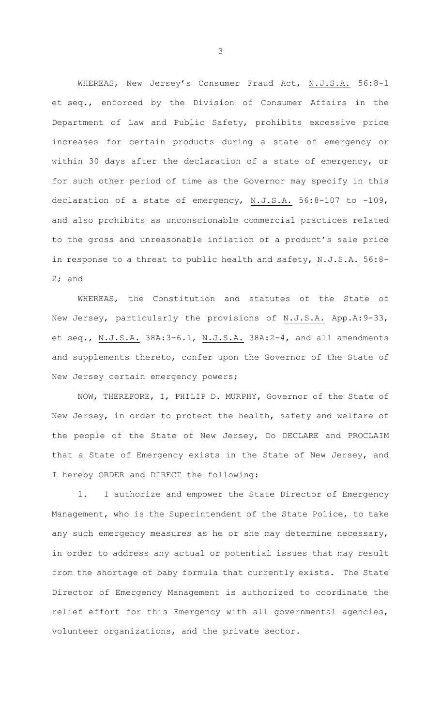WHEREAS, New Jersey's Consumer Fraud Act, N.J.S.A. 56:8-1 et seq., enforced by the Division of Consumer Affairs in the Department of Law and Public Safety, prohibits excessive price increases for certain products during a state of emergency or within 30 days after the declaration of a state of emergency, or for such other period of time as the Governor may specify in this declaration of a state of emergency, N.J.S.A. 56:8-107 to -109, and also prohibits as unconscionable commercial practices related to the gross and unreasonable inflation of a product's sale price in response to a threat to public health and safety, N.J.S.A. 56:8- 2; and

WHEREAS, the Constitution and statutes of the State of New Jersey, particularly the provisions of N.J.S.A. App.A:9-33, et seq., N.J.S.A. 38A:3-6.1, N.J.S.A. 38A:2-4, and all amendments and supplements thereto, confer upon the Governor of the State of New Jersey certain emergency powers;

 NOW, THEREFORE, I, PHILIP D. MURPHY, Governor of the State of New Jersey, in order to protect the health, safety and welfare of the people of the State of New Jersey, Do DECLARE and PROCLAIM that a State of Emergency exists in the State of New Jersey, and I hereby ORDER and DIRECT the following:

1. I authorize and empower the State Director of Emergency Management, who is the Superintendent of the State Police, to take any such emergency measures as he or she may determine necessary, in order to address any actual or potential issues that may result from the shortage of baby formula that currently exists. The State Director of Emergency Management is authorized to coordinate the relief effort for this Emergency with all governmental agencies, volunteer organizations, and the private sector.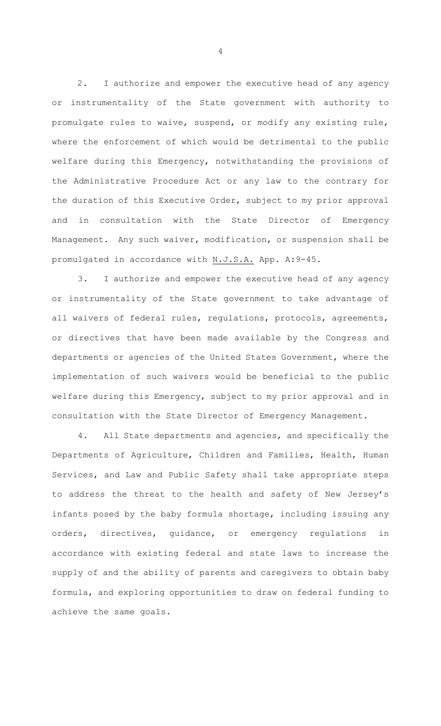2. I authorize and empower the executive head of any agency or instrumentality of the State government with authority to promulgate rules to waive, suspend, or modify any existing rule, where the enforcement of which would be detrimental to the public welfare during this Emergency, notwithstanding the provisions of the Administrative Procedure Act or any law to the contrary for the duration of this Executive Order, subject to my prior approval and in consultation with the State Director of Emergency Management. Any such waiver, modification, or suspension shall be promulgated in accordance with N.J.S.A. App. A:9-45.

3. I authorize and empower the executive head of any agency or instrumentality of the State government to take advantage of all waivers of federal rules, regulations, protocols, agreements, or directives that have been made available by the Congress and departments or agencies of the United States Government, where the implementation of such waivers would be beneficial to the public welfare during this Emergency, subject to my prior approval and in consultation with the State Director of Emergency Management.

4. All State departments and agencies, and specifically the Departments of Agriculture, Children and Families, Health, Human Services, and Law and Public Safety shall take appropriate steps to address the threat to the health and safety of New Jersey's infants posed by the baby formula shortage, including issuing any orders, directives, guidance, or emergency regulations in accordance with existing federal and state laws to increase the supply of and the ability of parents and caregivers to obtain baby formula, and exploring opportunities to draw on federal funding to achieve the same goals.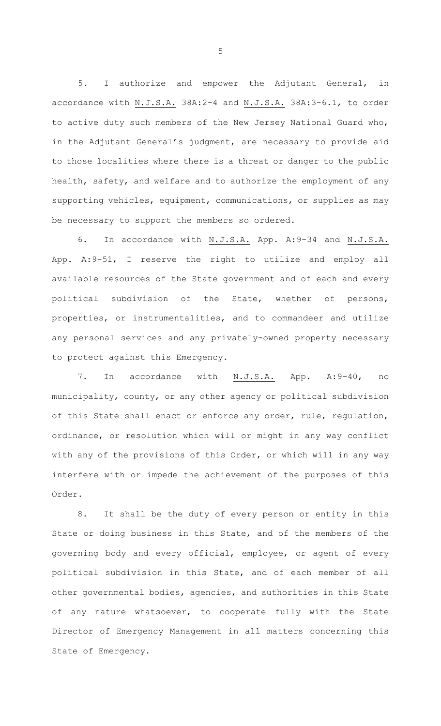5. I authorize and empower the Adjutant General, in accordance with N.J.S.A. 38A:2-4 and N.J.S.A. 38A:3-6.1, to order to active duty such members of the New Jersey National Guard who, in the Adjutant General's judgment, are necessary to provide aid to those localities where there is a threat or danger to the public health, safety, and welfare and to authorize the employment of any supporting vehicles, equipment, communications, or supplies as may be necessary to support the members so ordered.

6. In accordance with N.J.S.A. App. A:9-34 and N.J.S.A. App. A:9-51, I reserve the right to utilize and employ all available resources of the State government and of each and every political subdivision of the State, whether of persons, properties, or instrumentalities, and to commandeer and utilize any personal services and any privately-owned property necessary to protect against this Emergency.

7. In accordance with N.J.S.A. App. A:9-40, no municipality, county, or any other agency or political subdivision of this State shall enact or enforce any order, rule, regulation, ordinance, or resolution which will or might in any way conflict with any of the provisions of this Order, or which will in any way interfere with or impede the achievement of the purposes of this Order.

8. It shall be the duty of every person or entity in this State or doing business in this State, and of the members of the governing body and every official, employee, or agent of every political subdivision in this State, and of each member of all other governmental bodies, agencies, and authorities in this State of any nature whatsoever, to cooperate fully with the State Director of Emergency Management in all matters concerning this State of Emergency.